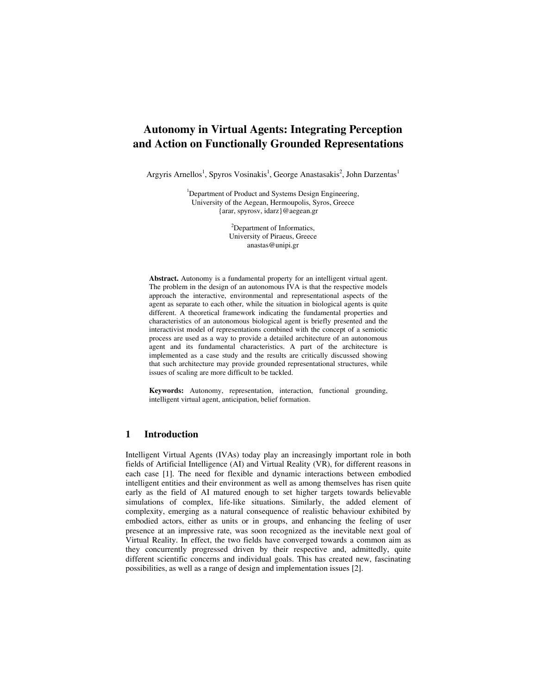Argyris Arnellos<sup>1</sup>, Spyros Vosinakis<sup>1</sup>, George Anastasakis<sup>2</sup>, John Darzentas<sup>1</sup>

<sup>1</sup>Department of Product and Systems Design Engineering, University of the Aegean, Hermoupolis, Syros, Greece {arar, spyrosv, idarz}@aegean.gr

> <sup>2</sup>Department of Informatics, University of Piraeus, Greece anastas@unipi.gr

**Abstract.** Autonomy is a fundamental property for an intelligent virtual agent. The problem in the design of an autonomous IVA is that the respective models approach the interactive, environmental and representational aspects of the agent as separate to each other, while the situation in biological agents is quite different. A theoretical framework indicating the fundamental properties and characteristics of an autonomous biological agent is briefly presented and the interactivist model of representations combined with the concept of a semiotic process are used as a way to provide a detailed architecture of an autonomous agent and its fundamental characteristics. A part of the architecture is implemented as a case study and the results are critically discussed showing that such architecture may provide grounded representational structures, while issues of scaling are more difficult to be tackled.

**Keywords:** Autonomy, representation, interaction, functional grounding, intelligent virtual agent, anticipation, belief formation.

## **1 Introduction**

Intelligent Virtual Agents (IVAs) today play an increasingly important role in both fields of Artificial Intelligence (AI) and Virtual Reality (VR), for different reasons in each case [1]. The need for flexible and dynamic interactions between embodied intelligent entities and their environment as well as among themselves has risen quite early as the field of AI matured enough to set higher targets towards believable simulations of complex, life-like situations. Similarly, the added element of complexity, emerging as a natural consequence of realistic behaviour exhibited by embodied actors, either as units or in groups, and enhancing the feeling of user presence at an impressive rate, was soon recognized as the inevitable next goal of Virtual Reality. In effect, the two fields have converged towards a common aim as they concurrently progressed driven by their respective and, admittedly, quite different scientific concerns and individual goals. This has created new, fascinating possibilities, as well as a range of design and implementation issues [2].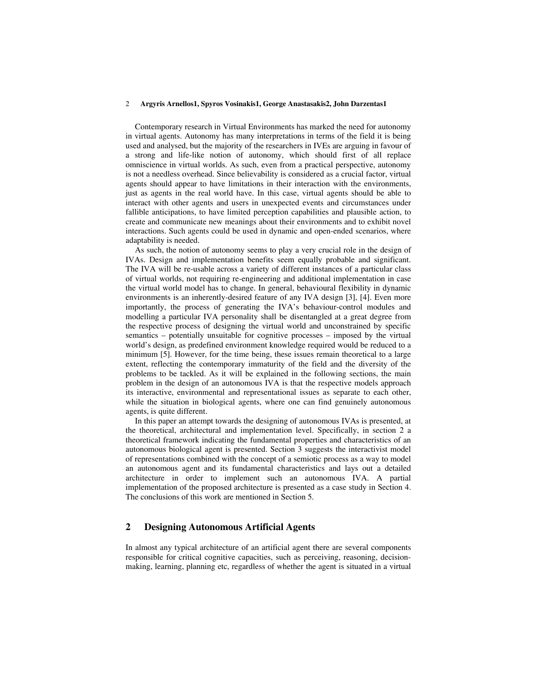Contemporary research in Virtual Environments has marked the need for autonomy in virtual agents. Autonomy has many interpretations in terms of the field it is being used and analysed, but the majority of the researchers in IVEs are arguing in favour of a strong and life-like notion of autonomy, which should first of all replace omniscience in virtual worlds. As such, even from a practical perspective, autonomy is not a needless overhead. Since believability is considered as a crucial factor, virtual agents should appear to have limitations in their interaction with the environments, just as agents in the real world have. In this case, virtual agents should be able to interact with other agents and users in unexpected events and circumstances under fallible anticipations, to have limited perception capabilities and plausible action, to create and communicate new meanings about their environments and to exhibit novel interactions. Such agents could be used in dynamic and open-ended scenarios, where adaptability is needed.

As such, the notion of autonomy seems to play a very crucial role in the design of IVAs. Design and implementation benefits seem equally probable and significant. The IVA will be re-usable across a variety of different instances of a particular class of virtual worlds, not requiring re-engineering and additional implementation in case the virtual world model has to change. In general, behavioural flexibility in dynamic environments is an inherently-desired feature of any IVA design [3], [4]. Even more importantly, the process of generating the IVA's behaviour-control modules and modelling a particular IVA personality shall be disentangled at a great degree from the respective process of designing the virtual world and unconstrained by specific semantics – potentially unsuitable for cognitive processes – imposed by the virtual world's design, as predefined environment knowledge required would be reduced to a minimum [5]. However, for the time being, these issues remain theoretical to a large extent, reflecting the contemporary immaturity of the field and the diversity of the problems to be tackled. As it will be explained in the following sections, the main problem in the design of an autonomous IVA is that the respective models approach its interactive, environmental and representational issues as separate to each other, while the situation in biological agents, where one can find genuinely autonomous agents, is quite different.

In this paper an attempt towards the designing of autonomous IVAs is presented, at the theoretical, architectural and implementation level. Specifically, in section 2 a theoretical framework indicating the fundamental properties and characteristics of an autonomous biological agent is presented. Section 3 suggests the interactivist model of representations combined with the concept of a semiotic process as a way to model an autonomous agent and its fundamental characteristics and lays out a detailed architecture in order to implement such an autonomous IVA. A partial implementation of the proposed architecture is presented as a case study in Section 4. The conclusions of this work are mentioned in Section 5.

## **2 Designing Autonomous Artificial Agents**

In almost any typical architecture of an artificial agent there are several components responsible for critical cognitive capacities, such as perceiving, reasoning, decisionmaking, learning, planning etc, regardless of whether the agent is situated in a virtual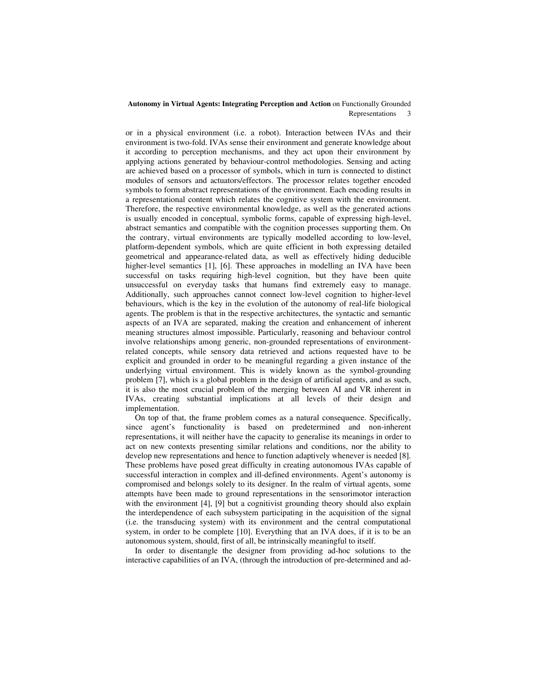or in a physical environment (i.e. a robot). Interaction between IVAs and their environment is two-fold. IVAs sense their environment and generate knowledge about it according to perception mechanisms, and they act upon their environment by applying actions generated by behaviour-control methodologies. Sensing and acting are achieved based on a processor of symbols, which in turn is connected to distinct modules of sensors and actuators/effectors. The processor relates together encoded symbols to form abstract representations of the environment. Each encoding results in a representational content which relates the cognitive system with the environment. Therefore, the respective environmental knowledge, as well as the generated actions is usually encoded in conceptual, symbolic forms, capable of expressing high-level, abstract semantics and compatible with the cognition processes supporting them. On the contrary, virtual environments are typically modelled according to low-level, platform-dependent symbols, which are quite efficient in both expressing detailed geometrical and appearance-related data, as well as effectively hiding deducible higher-level semantics [1], [6]. These approaches in modelling an IVA have been successful on tasks requiring high-level cognition, but they have been quite unsuccessful on everyday tasks that humans find extremely easy to manage. Additionally, such approaches cannot connect low-level cognition to higher-level behaviours, which is the key in the evolution of the autonomy of real-life biological agents. The problem is that in the respective architectures, the syntactic and semantic aspects of an IVA are separated, making the creation and enhancement of inherent meaning structures almost impossible. Particularly, reasoning and behaviour control involve relationships among generic, non-grounded representations of environmentrelated concepts, while sensory data retrieved and actions requested have to be explicit and grounded in order to be meaningful regarding a given instance of the underlying virtual environment. This is widely known as the symbol-grounding problem [7], which is a global problem in the design of artificial agents, and as such, it is also the most crucial problem of the merging between AI and VR inherent in IVAs, creating substantial implications at all levels of their design and implementation.

On top of that, the frame problem comes as a natural consequence. Specifically, since agent's functionality is based on predetermined and non-inherent representations, it will neither have the capacity to generalise its meanings in order to act on new contexts presenting similar relations and conditions, nor the ability to develop new representations and hence to function adaptively whenever is needed [8]. These problems have posed great difficulty in creating autonomous IVAs capable of successful interaction in complex and ill-defined environments. Agent's autonomy is compromised and belongs solely to its designer. In the realm of virtual agents, some attempts have been made to ground representations in the sensorimotor interaction with the environment [4], [9] but a cognitivist grounding theory should also explain the interdependence of each subsystem participating in the acquisition of the signal (i.e. the transducing system) with its environment and the central computational system, in order to be complete [10]. Everything that an IVA does, if it is to be an autonomous system, should, first of all, be intrinsically meaningful to itself.

In order to disentangle the designer from providing ad-hoc solutions to the interactive capabilities of an IVA, (through the introduction of pre-determined and ad-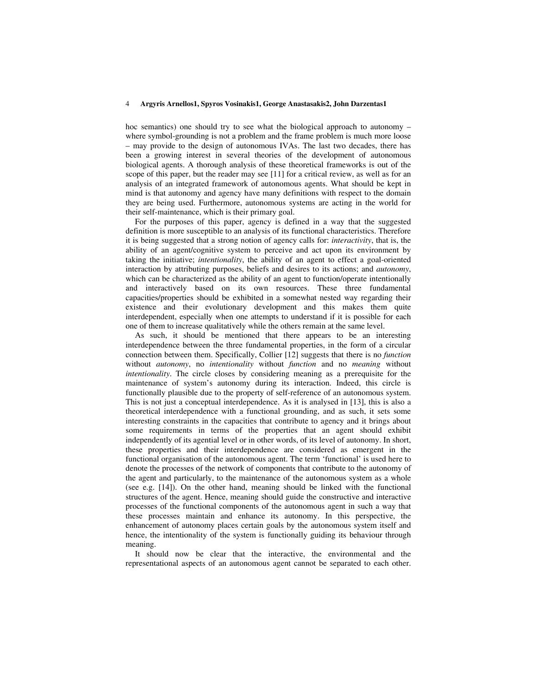hoc semantics) one should try to see what the biological approach to autonomy – where symbol-grounding is not a problem and the frame problem is much more loose – may provide to the design of autonomous IVAs. The last two decades, there has been a growing interest in several theories of the development of autonomous biological agents. A thorough analysis of these theoretical frameworks is out of the scope of this paper, but the reader may see [11] for a critical review, as well as for an analysis of an integrated framework of autonomous agents. What should be kept in mind is that autonomy and agency have many definitions with respect to the domain they are being used. Furthermore, autonomous systems are acting in the world for their self-maintenance, which is their primary goal.

For the purposes of this paper, agency is defined in a way that the suggested definition is more susceptible to an analysis of its functional characteristics. Therefore it is being suggested that a strong notion of agency calls for: *interactivity*, that is, the ability of an agent/cognitive system to perceive and act upon its environment by taking the initiative; *intentionality*, the ability of an agent to effect a goal-oriented interaction by attributing purposes, beliefs and desires to its actions; and *autonomy*, which can be characterized as the ability of an agent to function/operate intentionally and interactively based on its own resources. These three fundamental capacities/properties should be exhibited in a somewhat nested way regarding their existence and their evolutionary development and this makes them quite interdependent, especially when one attempts to understand if it is possible for each one of them to increase qualitatively while the others remain at the same level.

As such, it should be mentioned that there appears to be an interesting interdependence between the three fundamental properties, in the form of a circular connection between them. Specifically, Collier [12] suggests that there is no *function* without *autonomy*, no *intentionality* without *function* and no *meaning* without *intentionality*. The circle closes by considering meaning as a prerequisite for the maintenance of system's autonomy during its interaction. Indeed, this circle is functionally plausible due to the property of self-reference of an autonomous system. This is not just a conceptual interdependence. As it is analysed in [13], this is also a theoretical interdependence with a functional grounding, and as such, it sets some interesting constraints in the capacities that contribute to agency and it brings about some requirements in terms of the properties that an agent should exhibit independently of its agential level or in other words, of its level of autonomy. In short, these properties and their interdependence are considered as emergent in the functional organisation of the autonomous agent. The term 'functional' is used here to denote the processes of the network of components that contribute to the autonomy of the agent and particularly, to the maintenance of the autonomous system as a whole (see e.g. [14]). On the other hand, meaning should be linked with the functional structures of the agent. Hence, meaning should guide the constructive and interactive processes of the functional components of the autonomous agent in such a way that these processes maintain and enhance its autonomy. In this perspective, the enhancement of autonomy places certain goals by the autonomous system itself and hence, the intentionality of the system is functionally guiding its behaviour through meaning.

It should now be clear that the interactive, the environmental and the representational aspects of an autonomous agent cannot be separated to each other.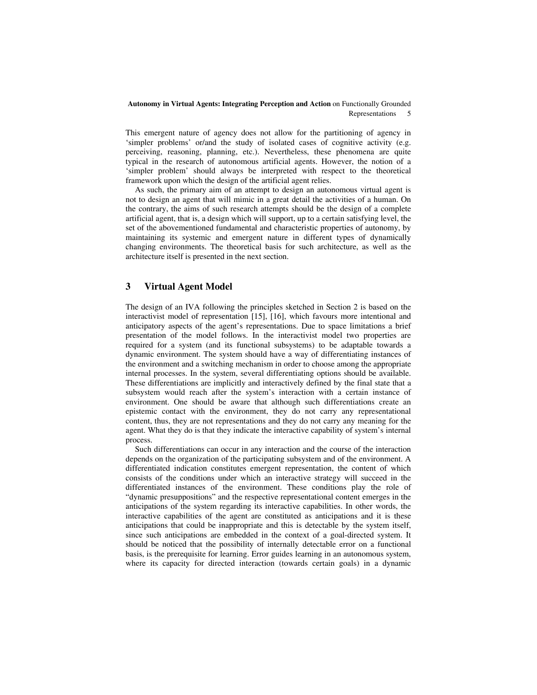This emergent nature of agency does not allow for the partitioning of agency in 'simpler problems' or/and the study of isolated cases of cognitive activity (e.g. perceiving, reasoning, planning, etc.). Nevertheless, these phenomena are quite typical in the research of autonomous artificial agents. However, the notion of a 'simpler problem' should always be interpreted with respect to the theoretical framework upon which the design of the artificial agent relies.

As such, the primary aim of an attempt to design an autonomous virtual agent is not to design an agent that will mimic in a great detail the activities of a human. On the contrary, the aims of such research attempts should be the design of a complete artificial agent, that is, a design which will support, up to a certain satisfying level, the set of the abovementioned fundamental and characteristic properties of autonomy, by maintaining its systemic and emergent nature in different types of dynamically changing environments. The theoretical basis for such architecture, as well as the architecture itself is presented in the next section.

## **3 Virtual Agent Model**

The design of an IVA following the principles sketched in Section 2 is based on the interactivist model of representation [15], [16], which favours more intentional and anticipatory aspects of the agent's representations. Due to space limitations a brief presentation of the model follows. In the interactivist model two properties are required for a system (and its functional subsystems) to be adaptable towards a dynamic environment. The system should have a way of differentiating instances of the environment and a switching mechanism in order to choose among the appropriate internal processes. In the system, several differentiating options should be available. These differentiations are implicitly and interactively defined by the final state that a subsystem would reach after the system's interaction with a certain instance of environment. One should be aware that although such differentiations create an epistemic contact with the environment, they do not carry any representational content, thus, they are not representations and they do not carry any meaning for the agent. What they do is that they indicate the interactive capability of system's internal process.

Such differentiations can occur in any interaction and the course of the interaction depends on the organization of the participating subsystem and of the environment. A differentiated indication constitutes emergent representation, the content of which consists of the conditions under which an interactive strategy will succeed in the differentiated instances of the environment. These conditions play the role of "dynamic presuppositions" and the respective representational content emerges in the anticipations of the system regarding its interactive capabilities. In other words, the interactive capabilities of the agent are constituted as anticipations and it is these anticipations that could be inappropriate and this is detectable by the system itself, since such anticipations are embedded in the context of a goal-directed system. It should be noticed that the possibility of internally detectable error on a functional basis, is the prerequisite for learning. Error guides learning in an autonomous system, where its capacity for directed interaction (towards certain goals) in a dynamic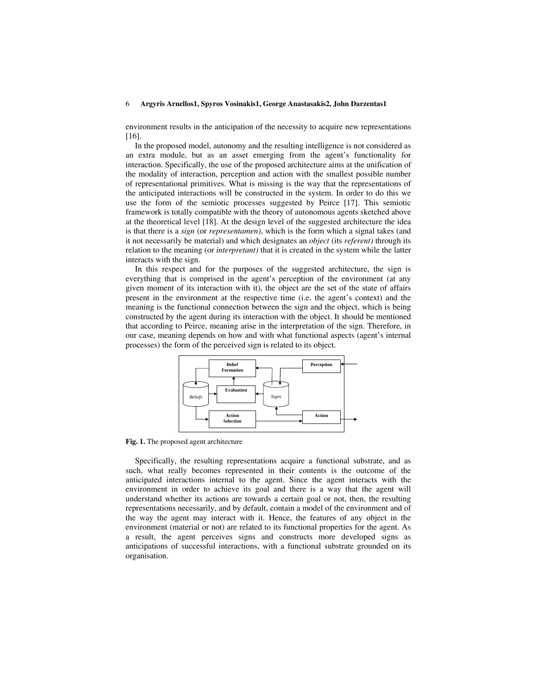environment results in the anticipation of the necessity to acquire new representations [16].

In the proposed model, autonomy and the resulting intelligence is not considered as an extra module, but as an asset emerging from the agent's functionality for interaction. Specifically, the use of the proposed architecture aims at the unification of the modality of interaction, perception and action with the smallest possible number of representational primitives. What is missing is the way that the representations of the anticipated interactions will be constructed in the system. In order to do this we use the form of the semiotic processes suggested by Peirce [17]. This semiotic framework is totally compatible with the theory of autonomous agents sketched above at the theoretical level [18]. At the design level of the suggested architecture the idea is that there is a *sign* (or *representamen)*, which is the form which a signal takes (and it not necessarily be material) and which designates an *object* (its *referent)* through its relation to the meaning (or *interpretant)* that it is created in the system while the latter interacts with the sign.

In this respect and for the purposes of the suggested architecture, the sign is everything that is comprised in the agent's perception of the environment (at any given moment of its interaction with it), the object are the set of the state of affairs present in the environment at the respective time (i.e. the agent's context) and the meaning is the functional connection between the sign and the object, which is being constructed by the agent during its interaction with the object. It should be mentioned that according to Peirce, meaning arise in the interpretation of the sign. Therefore, in our case, meaning depends on how and with what functional aspects (agent's internal processes) the form of the perceived sign is related to its object.



**Fig. 1.** The proposed agent architecture

Specifically, the resulting representations acquire a functional substrate, and as such, what really becomes represented in their contents is the outcome of the anticipated interactions internal to the agent. Since the agent interacts with the environment in order to achieve its goal and there is a way that the agent will understand whether its actions are towards a certain goal or not, then, the resulting representations necessarily, and by default, contain a model of the environment and of the way the agent may interact with it. Hence, the features of any object in the environment (material or not) are related to its functional properties for the agent. As a result, the agent perceives signs and constructs more developed signs as anticipations of successful interactions, with a functional substrate grounded on its organisation.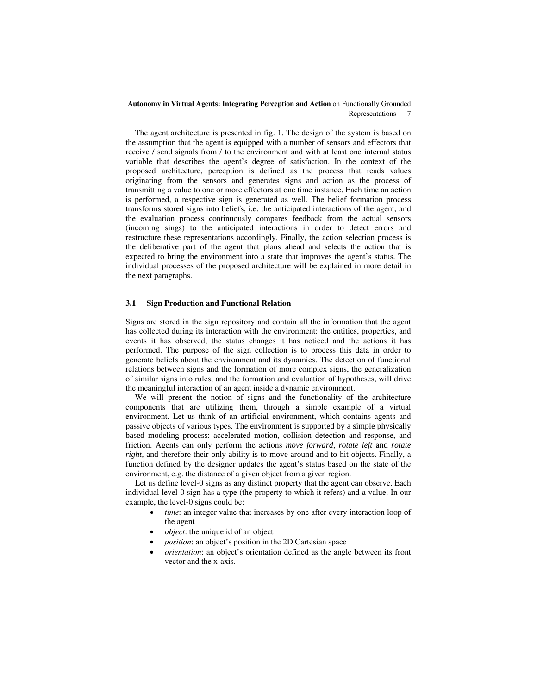The agent architecture is presented in fig. 1. The design of the system is based on the assumption that the agent is equipped with a number of sensors and effectors that receive / send signals from / to the environment and with at least one internal status variable that describes the agent's degree of satisfaction. In the context of the proposed architecture, perception is defined as the process that reads values originating from the sensors and generates signs and action as the process of transmitting a value to one or more effectors at one time instance. Each time an action is performed, a respective sign is generated as well. The belief formation process transforms stored signs into beliefs, i.e. the anticipated interactions of the agent, and the evaluation process continuously compares feedback from the actual sensors (incoming sings) to the anticipated interactions in order to detect errors and restructure these representations accordingly. Finally, the action selection process is the deliberative part of the agent that plans ahead and selects the action that is expected to bring the environment into a state that improves the agent's status. The individual processes of the proposed architecture will be explained in more detail in the next paragraphs.

### **3.1 Sign Production and Functional Relation**

Signs are stored in the sign repository and contain all the information that the agent has collected during its interaction with the environment: the entities, properties, and events it has observed, the status changes it has noticed and the actions it has performed. The purpose of the sign collection is to process this data in order to generate beliefs about the environment and its dynamics. The detection of functional relations between signs and the formation of more complex signs, the generalization of similar signs into rules, and the formation and evaluation of hypotheses, will drive the meaningful interaction of an agent inside a dynamic environment.

We will present the notion of signs and the functionality of the architecture components that are utilizing them, through a simple example of a virtual environment. Let us think of an artificial environment, which contains agents and passive objects of various types. The environment is supported by a simple physically based modeling process: accelerated motion, collision detection and response, and friction. Agents can only perform the actions *move forward, rotate left* and *rotate right*, and therefore their only ability is to move around and to hit objects. Finally, a function defined by the designer updates the agent's status based on the state of the environment, e.g. the distance of a given object from a given region.

Let us define level-0 signs as any distinct property that the agent can observe. Each individual level-0 sign has a type (the property to which it refers) and a value. In our example, the level-0 signs could be:

- *time*: an integer value that increases by one after every interaction loop of the agent
- *object*: the unique id of an object
- *position*: an object's position in the 2D Cartesian space
- *orientation*: an object's orientation defined as the angle between its front vector and the x-axis.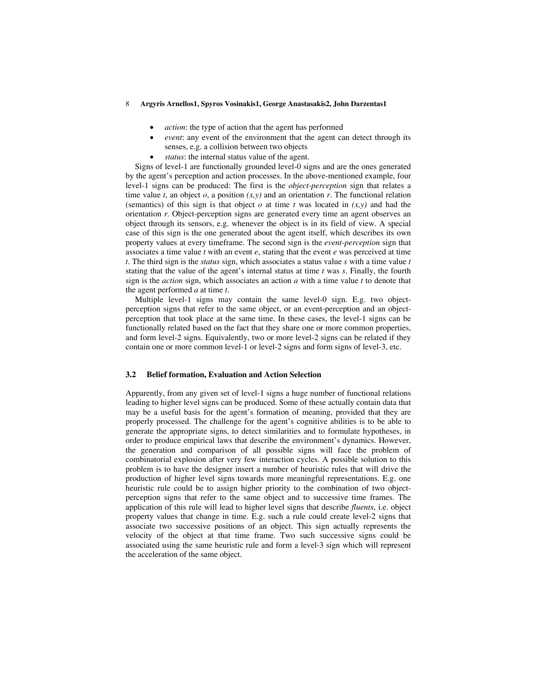- *action*: the type of action that the agent has performed
- event: any event of the environment that the agent can detect through its senses, e.g. a collision between two objects
- status: the internal status value of the agent.

Signs of level-1 are functionally grounded level-0 signs and are the ones generated by the agent's perception and action processes. In the above-mentioned example, four level-1 signs can be produced: The first is the *object-perception* sign that relates a time value  $t$ , an object  $o$ , a position  $(x, y)$  and an orientation  $r$ . The functional relation (semantics) of this sign is that object  $\rho$  at time  $t$  was located in  $(x, y)$  and had the orientation *r*. Object-perception signs are generated every time an agent observes an object through its sensors, e.g. whenever the object is in its field of view. A special case of this sign is the one generated about the agent itself, which describes its own property values at every timeframe. The second sign is the *event-perception* sign that associates a time value *t* with an event *e*, stating that the event *e* was perceived at time *t*. The third sign is the *status* sign, which associates a status value *s* with a time value *t* stating that the value of the agent's internal status at time *t* was *s*. Finally, the fourth sign is the *action* sign, which associates an action *a* with a time value *t* to denote that the agent performed *a* at time *t*.

Multiple level-1 signs may contain the same level-0 sign. E.g. two objectperception signs that refer to the same object, or an event-perception and an objectperception that took place at the same time. In these cases, the level-1 signs can be functionally related based on the fact that they share one or more common properties, and form level-2 signs. Equivalently, two or more level-2 signs can be related if they contain one or more common level-1 or level-2 signs and form signs of level-3, etc.

#### **3.2 Belief formation, Evaluation and Action Selection**

Apparently, from any given set of level-1 signs a huge number of functional relations leading to higher level signs can be produced. Some of these actually contain data that may be a useful basis for the agent's formation of meaning, provided that they are properly processed. The challenge for the agent's cognitive abilities is to be able to generate the appropriate signs, to detect similarities and to formulate hypotheses, in order to produce empirical laws that describe the environment's dynamics. However, the generation and comparison of all possible signs will face the problem of combinatorial explosion after very few interaction cycles. A possible solution to this problem is to have the designer insert a number of heuristic rules that will drive the production of higher level signs towards more meaningful representations. E.g. one heuristic rule could be to assign higher priority to the combination of two objectperception signs that refer to the same object and to successive time frames. The application of this rule will lead to higher level signs that describe *fluents*, i.e. object property values that change in time. E.g. such a rule could create level-2 signs that associate two successive positions of an object. This sign actually represents the velocity of the object at that time frame. Two such successive signs could be associated using the same heuristic rule and form a level-3 sign which will represent the acceleration of the same object.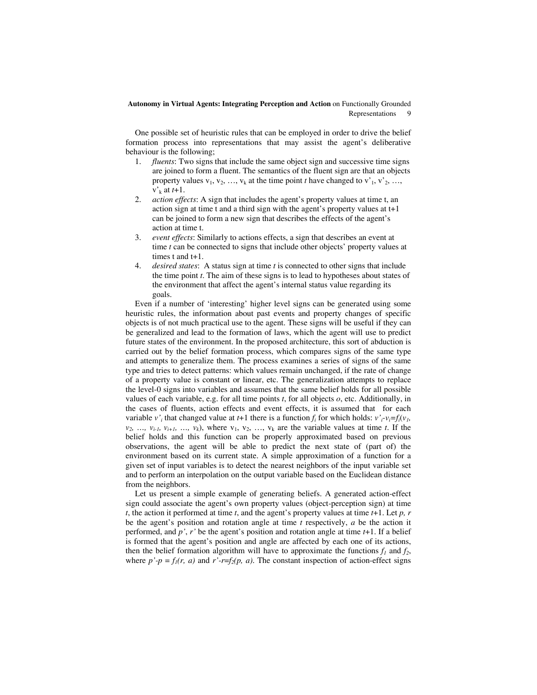One possible set of heuristic rules that can be employed in order to drive the belief formation process into representations that may assist the agent's deliberative behaviour is the following;

- 1. *fluents*: Two signs that include the same object sign and successive time signs are joined to form a fluent. The semantics of the fluent sign are that an objects property values  $v_1, v_2, ..., v_k$  at the time point *t* have changed to  $v'_1, v'_2, ...,$  $v'_{k}$  at  $t+1$ .
- 2. *action effects*: A sign that includes the agent's property values at time t, an action sign at time t and a third sign with the agent's property values at t+1 can be joined to form a new sign that describes the effects of the agent's action at time t.
- 3. *event effects*: Similarly to actions effects, a sign that describes an event at time *t* can be connected to signs that include other objects' property values at times t and t+1.
- 4. *desired states*: A status sign at time *t* is connected to other signs that include the time point *t*. The aim of these signs is to lead to hypotheses about states of the environment that affect the agent's internal status value regarding its goals.

Even if a number of 'interesting' higher level signs can be generated using some heuristic rules, the information about past events and property changes of specific objects is of not much practical use to the agent. These signs will be useful if they can be generalized and lead to the formation of laws, which the agent will use to predict future states of the environment. In the proposed architecture, this sort of abduction is carried out by the belief formation process, which compares signs of the same type and attempts to generalize them. The process examines a series of signs of the same type and tries to detect patterns: which values remain unchanged, if the rate of change of a property value is constant or linear, etc. The generalization attempts to replace the level-0 signs into variables and assumes that the same belief holds for all possible values of each variable, e.g. for all time points *t*, for all objects *o*, etc. Additionally, in the cases of fluents, action effects and event effects, it is assumed that for each variable *v'<sub>i</sub>* that changed value at *t*+1 there is a function  $f_i$  for which holds:  $v'_{i}$ - $v_i = f_i(v_i)$ ,  $v_2, \ldots, v_{i-1}, v_{i+1}, \ldots, v_k$ , where  $v_1, v_2, \ldots, v_k$  are the variable values at time *t*. If the belief holds and this function can be properly approximated based on previous observations, the agent will be able to predict the next state of (part of) the environment based on its current state. A simple approximation of a function for a given set of input variables is to detect the nearest neighbors of the input variable set and to perform an interpolation on the output variable based on the Euclidean distance from the neighbors.

Let us present a simple example of generating beliefs. A generated action-effect sign could associate the agent's own property values (object-perception sign) at time *t*, the action it performed at time *t*, and the agent's property values at time *t*+1. Let *p, r* be the agent's position and rotation angle at time *t* respectively, *a* be the action it performed, and *p'*, *r'* be the agent's position and rotation angle at time *t*+1. If a belief is formed that the agent's position and angle are affected by each one of its actions, then the belief formation algorithm will have to approximate the functions  $f_1$  and  $f_2$ , where  $p'$ - $p = f_1(r, a)$  and  $r'$ - $r=f_2(p, a)$ . The constant inspection of action-effect signs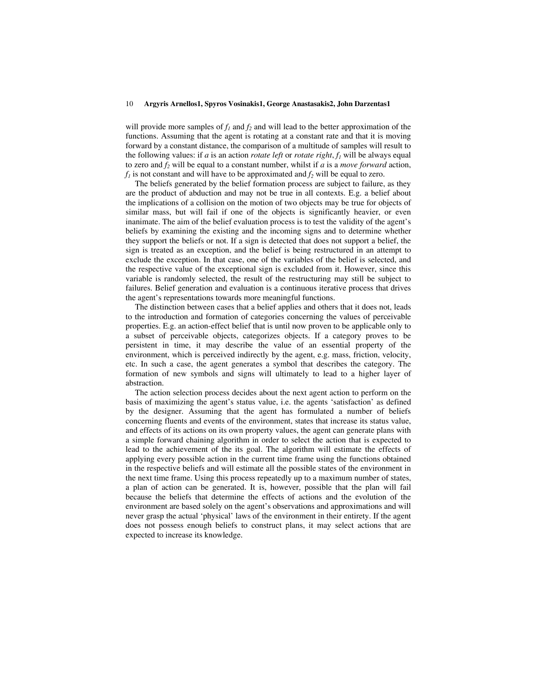will provide more samples of  $f_1$  and  $f_2$  and will lead to the better approximation of the functions. Assuming that the agent is rotating at a constant rate and that it is moving forward by a constant distance, the comparison of a multitude of samples will result to the following values: if *a* is an action *rotate left* or *rotate right*,  $f<sub>1</sub>$  will be always equal to zero and  $f_2$  will be equal to a constant number, whilst if  $a$  is a *move forward* action,  $f_1$  is not constant and will have to be approximated and  $f_2$  will be equal to zero.

The beliefs generated by the belief formation process are subject to failure, as they are the product of abduction and may not be true in all contexts. E.g. a belief about the implications of a collision on the motion of two objects may be true for objects of similar mass, but will fail if one of the objects is significantly heavier, or even inanimate. The aim of the belief evaluation process is to test the validity of the agent's beliefs by examining the existing and the incoming signs and to determine whether they support the beliefs or not. If a sign is detected that does not support a belief, the sign is treated as an exception, and the belief is being restructured in an attempt to exclude the exception. In that case, one of the variables of the belief is selected, and the respective value of the exceptional sign is excluded from it. However, since this variable is randomly selected, the result of the restructuring may still be subject to failures. Belief generation and evaluation is a continuous iterative process that drives the agent's representations towards more meaningful functions.

The distinction between cases that a belief applies and others that it does not, leads to the introduction and formation of categories concerning the values of perceivable properties. E.g. an action-effect belief that is until now proven to be applicable only to a subset of perceivable objects, categorizes objects. If a category proves to be persistent in time, it may describe the value of an essential property of the environment, which is perceived indirectly by the agent, e.g. mass, friction, velocity, etc. In such a case, the agent generates a symbol that describes the category. The formation of new symbols and signs will ultimately to lead to a higher layer of abstraction.

The action selection process decides about the next agent action to perform on the basis of maximizing the agent's status value, i.e. the agents 'satisfaction' as defined by the designer. Assuming that the agent has formulated a number of beliefs concerning fluents and events of the environment, states that increase its status value, and effects of its actions on its own property values, the agent can generate plans with a simple forward chaining algorithm in order to select the action that is expected to lead to the achievement of the its goal. The algorithm will estimate the effects of applying every possible action in the current time frame using the functions obtained in the respective beliefs and will estimate all the possible states of the environment in the next time frame. Using this process repeatedly up to a maximum number of states, a plan of action can be generated. It is, however, possible that the plan will fail because the beliefs that determine the effects of actions and the evolution of the environment are based solely on the agent's observations and approximations and will never grasp the actual 'physical' laws of the environment in their entirety. If the agent does not possess enough beliefs to construct plans, it may select actions that are expected to increase its knowledge.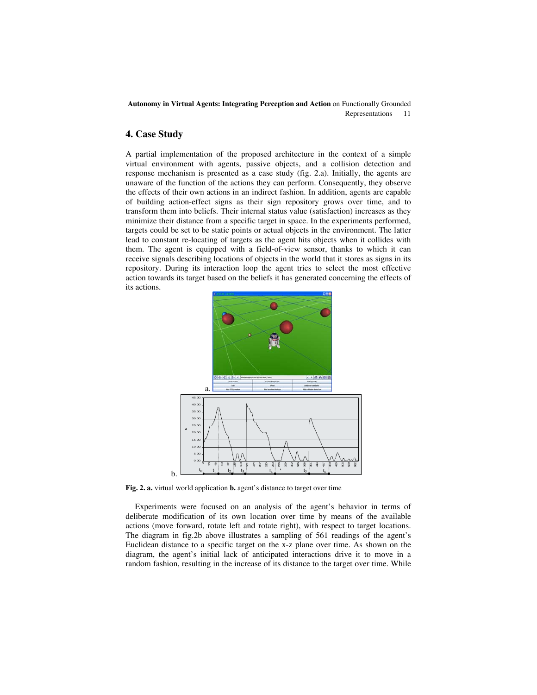## **4. Case Study**

A partial implementation of the proposed architecture in the context of a simple virtual environment with agents, passive objects, and a collision detection and response mechanism is presented as a case study (fig. 2.a). Initially, the agents are unaware of the function of the actions they can perform. Consequently, they observe the effects of their own actions in an indirect fashion. In addition, agents are capable of building action-effect signs as their sign repository grows over time, and to transform them into beliefs. Their internal status value (satisfaction) increases as they minimize their distance from a specific target in space. In the experiments performed, targets could be set to be static points or actual objects in the environment. The latter lead to constant re-locating of targets as the agent hits objects when it collides with them. The agent is equipped with a field-of-view sensor, thanks to which it can receive signals describing locations of objects in the world that it stores as signs in its repository. During its interaction loop the agent tries to select the most effective action towards its target based on the beliefs it has generated concerning the effects of its actions.



**Fig. 2. a.** virtual world application **b.** agent's distance to target over time

Experiments were focused on an analysis of the agent's behavior in terms of deliberate modification of its own location over time by means of the available actions (move forward, rotate left and rotate right), with respect to target locations. The diagram in fig.2b above illustrates a sampling of 561 readings of the agent's Euclidean distance to a specific target on the x-z plane over time. As shown on the diagram, the agent's initial lack of anticipated interactions drive it to move in a random fashion, resulting in the increase of its distance to the target over time. While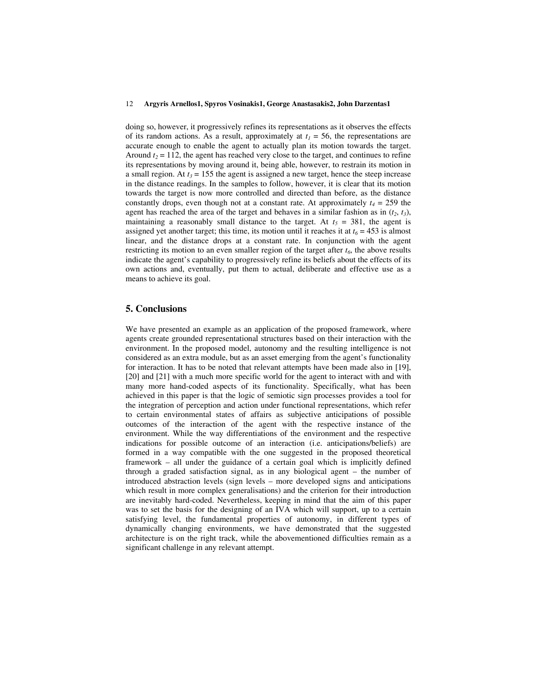doing so, however, it progressively refines its representations as it observes the effects of its random actions. As a result, approximately at  $t_1 = 56$ , the representations are accurate enough to enable the agent to actually plan its motion towards the target. Around  $t_2 = 112$ , the agent has reached very close to the target, and continues to refine its representations by moving around it, being able, however, to restrain its motion in a small region. At  $t_3 = 155$  the agent is assigned a new target, hence the steep increase in the distance readings. In the samples to follow, however, it is clear that its motion towards the target is now more controlled and directed than before, as the distance constantly drops, even though not at a constant rate. At approximately  $t_4 = 259$  the agent has reached the area of the target and behaves in a similar fashion as in  $(t_2, t_3)$ , maintaining a reasonably small distance to the target. At  $t<sub>5</sub> = 381$ , the agent is assigned yet another target; this time, its motion until it reaches it at  $t_6 = 453$  is almost linear, and the distance drops at a constant rate. In conjunction with the agent restricting its motion to an even smaller region of the target after  $t_6$ , the above results indicate the agent's capability to progressively refine its beliefs about the effects of its own actions and, eventually, put them to actual, deliberate and effective use as a means to achieve its goal.

### **5. Conclusions**

We have presented an example as an application of the proposed framework, where agents create grounded representational structures based on their interaction with the environment. In the proposed model, autonomy and the resulting intelligence is not considered as an extra module, but as an asset emerging from the agent's functionality for interaction. It has to be noted that relevant attempts have been made also in [19], [20] and [21] with a much more specific world for the agent to interact with and with many more hand-coded aspects of its functionality. Specifically, what has been achieved in this paper is that the logic of semiotic sign processes provides a tool for the integration of perception and action under functional representations, which refer to certain environmental states of affairs as subjective anticipations of possible outcomes of the interaction of the agent with the respective instance of the environment. While the way differentiations of the environment and the respective indications for possible outcome of an interaction (i.e. anticipations/beliefs) are formed in a way compatible with the one suggested in the proposed theoretical framework – all under the guidance of a certain goal which is implicitly defined through a graded satisfaction signal, as in any biological agent – the number of introduced abstraction levels (sign levels – more developed signs and anticipations which result in more complex generalisations) and the criterion for their introduction are inevitably hard-coded. Nevertheless, keeping in mind that the aim of this paper was to set the basis for the designing of an IVA which will support, up to a certain satisfying level, the fundamental properties of autonomy, in different types of dynamically changing environments, we have demonstrated that the suggested architecture is on the right track, while the abovementioned difficulties remain as a significant challenge in any relevant attempt.